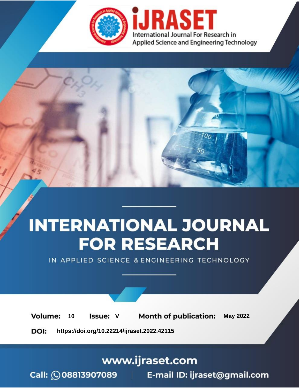

# **INTERNATIONAL JOURNAL FOR RESEARCH**

IN APPLIED SCIENCE & ENGINEERING TECHNOLOGY

Volume: **Month of publication: May 2022** 10 **Issue: V** 

DOI: https://doi.org/10.22214/ijraset.2022.42115

www.ijraset.com

Call: 008813907089 | E-mail ID: ijraset@gmail.com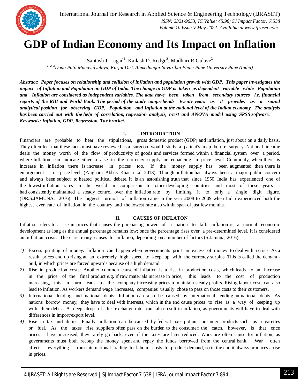

### **GDP of Indian Economy and Its Impact on Inflation**

Santosh J. Lagad<sup>1</sup>, Kailash D. Rodge<sup>2</sup>, Madhuri R.Gulave<sup>3</sup>

*1, 2, 3Dada Patil Mahavidyalaya, Karjat Dist. Ahmednagar Savitribai Phule Pune University Pune (India)*

*Abstract: Paper focuses on relationship and collision of inflation and population growth with GDP. This paper investigates the impact of Inflation and Population on GDP of India. The change in GDP is taken as dependent variable while Population and Inflation are considered as independent variables. The data have been taken from secondary sources i.e. financial reports of the RBI and World Bank. The period of the study comprehends twenty years as it provides us a sound analytical position for observing GDP, Population and Inflation at the national level of the Indian economy. The analysis has been carried out with the help of correlation, regression analysis, t-test and ANOVA model using SPSS software. Keywords: Inflation, GDP, Regression, Tax bracket.*

#### **I. INTRODUCTION**

Financiers are probable to hear the stipulations, gross domestic product (GDP) and inflation, just about on a daily basis. They often feel that these facts must have reviewed as a surgeon would study a patient's map before surgery. National income deals the money worth of the flow of productivity of goods and services formed within a financial system over a period, where Inflation can indicate either a raise in the currency supply or enhancing in price level. Commonly, when there is increase in inflation there is increase in prices too. If the money supply has been augmented, then there is enlargement in price levels (Zaigham Abbas Khan et.al 2013). Though inflation has always been a major public concern and always been subject to heated political debate, it is an astonishing truth that since 1950 India has experienced one of the lowest inflation rates in the world in comparison to other developing countries and most of these years it had consistently maintained a steady control over the inflation rate by limiting it to only a single digit figure. (DR.S.JAMUNA, 2016) The biggest turmoil of inflation came in the year 2008 to 2009 when India experienced both the highest ever rate of inflation in the country and the lowest rate also within span of just few months.

#### **II. CAUSES OF INFLATON**

Inflation refers to a rise in prices that causes the purchasing power of a nation to fall. Inflation is a normal economic development as long as the annual percentage remains low; once the percentage rises over a pre-determined level, it is considered an inflation crisis. There are many causes for inflation, depending on a number of factors (S.Jamuna, 2016).

- *1)* Excess printing of money: Inflation can happen when governments print an excess of money to deal with a crisis. As a result, prices end up rising at an extremely high speed to keep up with the currency surplus. This is called the demandpull, in which prices are forced upwards because of a high demand.
- *2)* Rise in production costs: Another common cause of inflation is a rise in production costs, which leads to an increase in the price of the final product e.g. if raw materials increase in price, this leads to the cost of production increasing, this in turn leads to the company increasing prices to maintain steady profits. Rising labour costs can also lead to inflation. As workers demand wage increases, companies usually chose to pass on those costs to their customers.
- *3)* International lending and national debts: Inflation can also be caused by international lending an national debts. As nations borrow money, they have to deal with interests, which in the end cause prices to rise as a way of keeping up with their debts. A deep drop of the exchange rate can also result in inflation, as governments will have to deal with differences in import/export level.
- *4)* Rise in tax and duties: Finally, inflation can be caused by federal taxes put on consumer products such as cigarettes or fuel. As the taxes rise, suppliers often pass on the burden to the consumer; the catch, however, is that once prices have increased, they rarely go back, even if the taxes are later reduced. Wars are often cause for inflation, as governments must both recoup the money spent and repay the funds borrowed from the central bank. War often affects everything from international trading to labour costs to product demand, so in the end it always produces a rise in prices.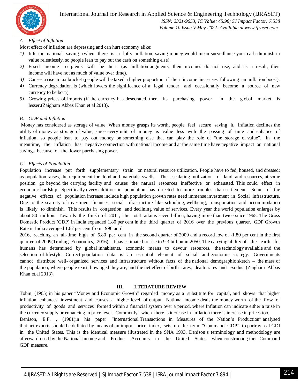

 *ISSN: 2321-9653; IC Value: 45.98; SJ Impact Factor: 7.538 Volume 10 Issue V May 2022- Available at www.ijraset.com*

#### *A. Effect of Inflation*

Most effect of inflation are depressing and can hurt economy alike:

- *1)* Inferior national saving (when there is a lofty inflation, saving money would mean surveillance your cash diminish in value relentlessly, so people lean to pay out the cash on something else).
- *2)* Fixed income recipients will be hurt (as inflation augments, their incomes do not rise, and as a result, their income will have not as much of value over time).
- *3)* Causes a rise in tax bracket (people will be taxed a higher proportion if their income increases following an inflation boost).
- *4)* Currency degradation is (which lowers the significance of a legal tender, and occasionally become a source of new currency to be born).
- *5)* Growing prices of imports (if the currency has desecrated, then its purchasing power in the global market is lesser.(Zaigham Abbas Khan et.al 2013).

#### *B. GDP and Inflation*

Money has considered as storage of value. When money grasps its worth, people feel secure saving it. Inflation declines the utility of money as storage of value, since every unit of money is value less with the passing of time and enhance of inflation, so people lean to pay out money on something else that can play the role of "the storage of value". In the meantime, the inflation has negative connection with national income and at the same time have negative impact on national savings because of the lower purchasing power.

#### *C. Effects of Population*

Population increase put forth supplementary strain on natural resource utilization. People have to fed, housed, and dressed; as population raises, the requirement for food and materials swells. The escalating utilization of land and resources, at some position go beyond the carrying facility and causes the natural resources ineffective or exhausted. This could effect in economic hardship. Specifically every addition in population has directed to more troubles than settlement. Some of the negative effects of population increase include high population growth rates need immense investment in Social infrastructure. Due to the scarcity of investment finances, social infrastructure like schooling, wellbeing, transportation and accommodation is likely to diminish. This results in congestion and declining value of services. Every year the world population enlarges by about 80 million. Towards the finish of 2011, the total attains seven billion, having more than twice since 1965. The Gross Domestic Product (GDP) in India expanded 1.80 per cent in the third quarter of 2016 over the previous quarter. GDP Growth Rate in India averaged 1.67 per cent from 1996 until

2016, reaching an all-time high of 5.80 per cent in the second quarter of 2009 and a record low of -1.80 per cent in the first quarter of 2009(Trading Economics, 2016). It has estimated to rise to 9.3 billion in 2050. The carrying ability of the earth for humans has determined by global inhabitants, economic means to devour resources, the technology available and the selection of lifestyle. Correct population data is an essential element of social and economic strategy. Governments cannot distribute well- organized services and infrastructure without facts of the national demographic sketch – the mass of the population, where people exist, how aged they are, and the net effect of birth rates, death rates and exodus (Zaigham Abbas Khan et.al 2013).

#### **III. LTERATURE REVIEW**

Tobin, (1965) in his paper "Money and Economic Growth" regarded money as a substitute for capital, and shows that higher inflation enhances investment and causes a higher level of output. National income deals the money worth of the flow of productivity of goods and services formed within a financial system over a period, where Inflation can indicate either a raise in the currency supply or enhancing in price level. Commonly, when there is increase in inflation there is increase in prices too.

Denison, E.F. , (1981)in his paper "International Transactions in Measures of the Nation's Production" analysed that net exports should be deflated by means of an import price index, sets up the term "Command GDP" to portray real GDI in the United States. This is the identical measure illustrated in the SNA 1993. Denison's terminology and methodology are afterward used by the National Income and Product Accounts in the United States when constructing their Command GDP measure.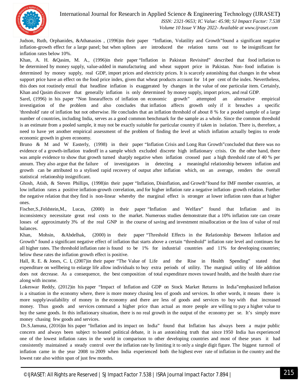

 *ISSN: 2321-9653; IC Value: 45.98; SJ Impact Factor: 7.538 Volume 10 Issue V May 2022- Available at www.ijraset.com*

Judson, Ruth, Orphanides, &Athanasios , (1996)in their paper "Inflation, Volatility and Growth"found a significant negative inflation-growth effect for a large panel; but when splines are introduced the relation turns out to be insignificant for inflation rates below 10%.

Khan, A. H. &Qasim, M. A., (1996)in their paper "Inflation in Pakistan Revisited" described that food inflation to be determined by money supply, value-added in manufacturing and wheat support price in Pakistan. Non- food inflation is determined by money supply, real GDP, import prices and electricity prices. It is scarcely astonishing that changes in the wheat support price have an effect on the food price index, given that wheat products account for 14 per cent of the index. Nevertheless, this does not routinely entail that headline inflation is exaggerated by changes in the value of one particular item. Certainly, Khan and Qasim discover that generally inflation is only determined by money supply, import prices, and real GDP.

Sarel, (1996) in his paper "Non linearaffects of inflation on economic growth" attempted an alternative empirical investigation of the problem and also concludes that inflation affects growth only if it breaches a specific 'threshold' rate of inflation but not otherwise. He concludes that an inflation threshold of about 8 % for a pooled sample of a large number of countries, including India, serves as a good common benchmark for the sample as a whole. Since the common threshold is an estimate from a pooled sample, it may not be exactly suitable for particular country if taken in isolation. There is, therefore, a need to have yet another empirical assessment of the problem of finding the level at which inflation actually begins to erode economic growth in given economy.

Bruno & M and W Easterly, (1998) in their paper "Inflation Crisis and Long Run Growth"concluded that there was no evidence of a growth-inflation tradeoff in a sample which excluded discrete high inflationary crisis. On the other hand, there was ample evidence to show that growth turned sharply negative when inflation crossed past a high threshold rate of 40 % per annum. They also argue that the failure of investigators in detecting a meaningful relationship between inflation and growth can be attributed to a stylised rapid recovery of output after inflation which, on an average, renders the overall statistical relationship insignificant.

Ghosh, Atish, & Steven Phillips, (1998)in their paper "Inflation, Disinflation, and Growth"found for IMF member countries, at low inflation rates a positive inflation-growth correlation, and for higher inflation rate a negative inflation- growth relation. Further the negative relation that they find is non-linear whereby the marginal effect is stronger at lower inflation rates than at higher ones.

Fischer,S.,Feldstein,M., Lucas, (2000) in their paper "Inflation and Welfare" found that Inflation and its inconsistency necessitate great real costs to the market. Numerous studies demonstrate that a 10% inflation rate can create losses of approximately 3% of the real GNP in the course of saving and investment misallocation or the loss of value of real balances.

Khan, Mohsin, &Abdelhak, (2000) in their paper "Threshold Effects in the Relationship Between Inflation and Growth" found a significant negative effect of inflation that starts above a certain "threshold" inflation rate level and continues for all higher rates. The threshold inflation rate is found to be 1% for industrial countries and 11% for developing countries; below these rates the inflation growth effect is positive.

Hall, R. E. & Jones, C. I, (2007)in their paper "The Value of Life and the Rise in Health Spending" stated that expenditure on wellbeing to enlarge life allow individuals to buy extra periods of utility. The marginal utility of life addition does not decrease. As a consequence, the best composition of total expenditure moves toward health, and the health share rise along with income.

Lokeswar Reddy, (2012)in his paper "Impact of Inflation and GDP on Stock Market Returns in India"emphasized Inflation is a situation in the economy where, there is more money chasing less of goods and services. In other words, it means there is more supply/availability of money in the economy and there are less of goods and services to buy with that increased money. Thus goods and services command a higher price than actual as more people are willing to pay a higher value to buy the same goods. In this inflationary situation, there is no real growth in the output of the economy per se. It's simply more money chasing few goods and services.

Dr.S.Jamuna, (2016)in his paper "Inflation and its impact on India" found that Inflation has always been a major public concern and always been subject to heated political debate, it is an astonishing truth that since 1950 India has experienced one of the lowest inflation rates in the world in comparison to other developing countries and most of these years it had consistently maintained a steady control over the inflation rate by limiting it to only a single digit figure. The biggest turmoil of inflation came in the year 2008 to 2009 when India experienced both the highest ever rate of inflation in the country and the lowest rate also within span of just few months.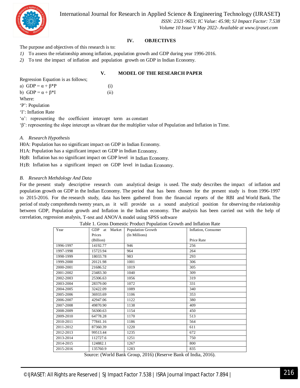

 *ISSN: 2321-9653; IC Value: 45.98; SJ Impact Factor: 7.538 Volume 10 Issue V May 2022- Available at www.ijraset.com*

#### **IV. OBJECTIVES**

The purpose and objectives of this research is to:

*1)* To assess the relationship among inflation, population growth and GDP during year 1996-2016.

*2)* To test the impact of inflation and population growth on GDP in Indian Economy.

#### **V. MODEL OF THE RESEARCH PAPER**

Regression Equation is as follows; a)  $GDP = \alpha + \beta^*P$  (i) b) GDP =  $\alpha + \beta *I$  (ii) Where: 'P': Population 'I': Inflation Rate 'α': representing the coefficient intercept term as constant

'β': representing the slope intercept as vibrant due the multiplier value of Population and Inflation in Time.

#### *A. Research Hypothesis*

H0A: Population has no significant impact on GDP in Indian Economy.

H1A: Population has a significant impact on GDP in Indian Economy.

H0B: Inflation has no significant impact on GDP level in Indian Economy.

H1B: Inflation has a significant impact on GDP level in Indian Economy.

#### *B. Research Methdology And Data*

For the present study descriptive research cum analytical design is used. The study describes the impact of inflation and population growth on GDP in the Indian Economy. The period that has been chosen for the present study is from 1996-1997 to 2015-2016. For the research study, data has been gathered from the financial reports of the RBI and World Bank. The period of study comprehends twenty years, as it will provide us a sound analytical position for observing the relationship between GDP, Population growth and Inflation in the Indian economy. The analysis has been carried out with the help of correlation, regression analysis, T-test and ANOVA model using SPSS software

| Year      | <b>GDP</b><br>Market<br>at                    | Population Growth | Inflation, Consumer          |
|-----------|-----------------------------------------------|-------------------|------------------------------|
|           | Prices                                        | (In Millions)     |                              |
|           | (Billion)                                     |                   | Price Rate                   |
| 1996-1997 | 14192.77                                      | 946               | 256                          |
| 1997-1998 | 15723.94                                      | 964               | 264                          |
| 1998-1999 | 18033.78                                      | 983               | 293                          |
| 1999-2000 | 20121.98                                      | 1001              | 306                          |
| 2000-2001 | 21686.52                                      | 1019              | 305                          |
| 2001-2002 | 23483.30                                      | 1040              | 309                          |
| 2002-2003 | 25306.63                                      | 1056              | 319                          |
| 2003-2004 | 28379.00                                      | 1072              | 331                          |
| 2004-2005 | 32422.09                                      | 1089              | 340                          |
| 2005-2006 | 36933.69                                      | 1106              | 353                          |
| 2006-2007 | 42947.06                                      | 1122              | 380                          |
| 2007-2008 | 49870.90                                      | 1138              | 409                          |
| 2008-2009 | 56300.63                                      | 1154              | 450                          |
| 2009-2010 | 64778.28                                      | 1170              | 513                          |
| 2010-2011 | 77841.16                                      | 1186              | 564                          |
| 2011-2012 | 87360.39                                      | 1220              | 611                          |
| 2012-2013 | 99513.44                                      | 1235              | 672                          |
| 2013-2014 | 112727.6                                      | 1251              | 750                          |
| 2014-2015 | 124882.1                                      | 1267              | 800                          |
| 2015-2016 | 135760.9                                      | 1283              | 835                          |
| $\sim$    | $\sqrt{11}$ $\sqrt{11}$ $\sqrt{1}$ $\sqrt{1}$ | $201 \wedge T$    | $P = 1$ $(1, 1, 1, 0, 1, 0)$ |

Table 1. Gross Domestic Product Population Growth and Inflation Rate

Source: (World Bank Group, 2016) (Reserve Bank of India, 2016).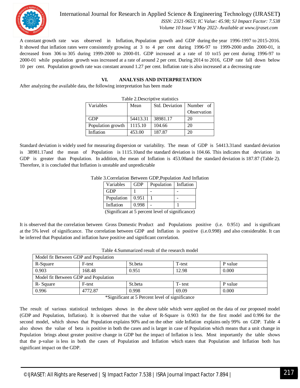

 *ISSN: 2321-9653; IC Value: 45.98; SJ Impact Factor: 7.538 Volume 10 Issue V May 2022- Available at www.ijraset.com*

A constant growth rate was observed in Inflation, Population growth and GDP during the year 1996-1997 to 2015-2016. It showed that inflation rates were consistently growing at 3 to 4 per cent during 1996-97 to 1999-2000 andin 2000-01, it decreased from 306 to 305 during 1999-2000 to 2000-01. GDP increased at a rate of 10 to15 per cent during 1996-97 to 2000-01 while population growth was increased at a rate of around 2 per cent. During 2014 to 2016, GDP rate fall down below 10 per cent. Population growth rate was constant around 1.27 per cent. Inflation rate is also increased at a decreasing rate

#### **VI. ANALYSIS AND INTERPRETATION**

After analyzing the available data, the following interpretation has been made

| Table 2. Descriptive statistics |          |                |             |  |  |  |  |
|---------------------------------|----------|----------------|-------------|--|--|--|--|
| Variables                       | Mean     | Std. Deviation | Number of   |  |  |  |  |
|                                 |          |                | Observation |  |  |  |  |
| <b>GDP</b>                      | 54413.31 | 38981.17       | 20          |  |  |  |  |
| Population growth               | 1115.10  | 104.66         | 20          |  |  |  |  |
| Inflation                       | 453.00   | 187.87         | 20          |  |  |  |  |

Standard deviation is widely used for measuring dispersion or variability. The mean of GDP is 54413.31and standard deviation is 38981.17and the mean of Population is 1115.10and the standard deviation is 104.66. This indicates that deviation in GDP is greater than Population. In addition, the mean of Inflation is 453.00and the standard deviation is 187.87 (Table 2). Therefore, it is concluded that Inflation is unstable and unpredictable

| 3. Correlation Between GDP, Population And Inf |            |            |           |  |  |
|------------------------------------------------|------------|------------|-----------|--|--|
| Variables                                      | <b>GDP</b> | Population | Inflation |  |  |
| GDP                                            |            |            |           |  |  |
| Population                                     | 0.951      |            |           |  |  |
| Inflation                                      | 0.998      |            |           |  |  |

Table 3.Correlation Between GDP,Population And Inflation

(Significant at 5 percent level of significance)

It is observed that the correlation between Gross Domestic Product and Populations positive (i.e. 0.951) and is significant at the 5% level of significance. The correlation between GDP and Inflation is positive (i.e.0.998) and also considerable. It can be inferred that Population and inflation have positive and significant correlation.

| Model fit Between GDP and Population |         |         |        |         |  |  |  |
|--------------------------------------|---------|---------|--------|---------|--|--|--|
| R-Square                             | F-test  | St.beta | T-test | P value |  |  |  |
| 0.903                                | 168.48  | 0.951   | 12.98  | 0.000   |  |  |  |
| Model fit Between GDP and Population |         |         |        |         |  |  |  |
| R-Square                             | F-test  | St.beta | T-test | P value |  |  |  |
| 0.996                                | 4772.87 | 0.998   | 69.09  | 0.000   |  |  |  |

Table 4.Summarized result of the research model

\*Significant at 5 Percent level of significance

The result of various statistical techniques shows in the above table which were applied on the data of our proposed model (GDP and Population, Inflation). It is observed that the value of R-Square is 0.903 for the first model and 0.996 for the second model, which shows that Population explains 90% and on the other side Inflation explains only 99% on GDP. Table 4 also shows the value of beta is positive in both the cases and is larger in case of Population which means that a unit change in Population brings about greater positive change in GDP but the impact of Inflation is less. Most importantly the table shows that the p-value is less in both the cases of Population and Inflation which states that Population and Inflation both has significant impact on the GDP.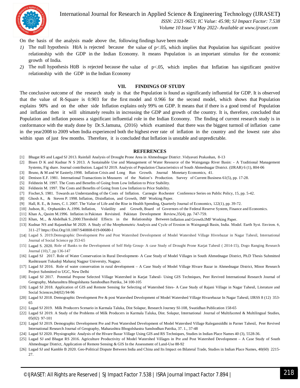

 *ISSN: 2321-9653; IC Value: 45.98; SJ Impact Factor: 7.538 Volume 10 Issue V May 2022- Available at www.ijraset.com*

On the basis of the analysis made above the, following findings have been made

- *1)* The null hypothesis H0A is rejected because the value of  $p<0.05$ , which implies that Population has significant positive relationship with the GDP in the Indian Economy. It means Population is an important stimulus for the economic growth of India.
- *2)* The null hypothesis H0B is rejected because the value of p<.05, which implies that Inflation has significant positive relationship with the GDP in the Indian Economy

#### **VII. FINDINGS OF STUDY**

The conclusive outcome of the research study is that the Population is found as significantly influential for GDP. It is observed that the value of R-Square is 0.903 for the first model and 0.966 for the second model, which shows that Population explains 90% and on the other side Inflation explains only 99% on GDP. It means that if there is a good trend of Population and inflation then it will ultimately results in increasing the GDP and growth of the country. It is, therefore, concluded that Population and inflation possess a significant influential role in the Indian Economy. The finding of current research study is in conformance with the study done by Dr.S.Jamuna, (2016) which examined that there was the biggest turmoil of inflation came in the year2008 to 2009 when India experienced both the highest ever rate of inflation in the country and the lowest rate also within span of just few months. Therefore, it is concluded that Inflation is unstable and unpredictable.

#### **REFERENCES**

- [1] Bhagat RS and Lagad SJ 2013. Rainfall Analysis of Drought Prone Area in Ahmednagar District .Vidyavati Prakashan, 8-13
- [2] Bisen D K and Kudnar N S 2013. A Sustainable Use and Management of Water Resource of the Wainganga River Basin: A Traditional Management Systems, Fig share. Journal contribution. Lagad SJ 2019. Analysis of Population Characteristics of South Ahmednagar District. (IJRAR) 6 (1), 804-06
- [3] Bruno, & M and W Easterly.1998. Inflation Crisis and Long Run Growth. Journal Monetary Economics, 41.
- [4] Denison E.F. 1981. International Transactions in Measures of the Nation's Production. Survey of Current Business 61(5), pp. 17-28.
- [5] Feldstein M. 1997. The Costs and Benefits of Going from Low Inflation to Price Stability.
- [6] Feldstein M. 1997. The Costs and Benefits of Going from Low Inflation to Price Stability.
- [7] Fischer,S. 1981. Towards an Understanding of the Costs of Inflation. Carnegie Rochester Conference Series on Public Policy, 15, pp. 5-42.
- [8] Ghosh A., & Steven P. 1998. Inflation, Disinflation, and Growth, IMF Working Paper.
- [9] Hall, R. E., & Jones, C. I. 2007. The Value of Life and the Rise in Health Spending, Quarterly Journal of Economics, 122(1), pp. 39-72.
- [10] Judson, R., Orphanides A..1996. Inflation, Volatility and Growth, Board of Governors of the Federal Reserve System, Finance and Economics.
- [11] Khan A., Qasim M.1996. Inflation in Pakistan Revisited. Pakistan Development Review,35(4), pp. 747-759.
- [12] Khan, M.., & Abdelhak S..2000.Threshold Effects in the Relationship Between Inflation and Growth.IMF Working Paper.
- [13] Kudnar NS and Rajasekhar M 2020. A Study of the Morphometric Analysis and Cycle of Erosion in Waingangā Basin, India. Model. Earth Syst. Environ. 6, 311–27 https://Doi.Org/10.1007/S40808-019-00680-1
- [14] Lagad S. 2019.Demographic Development Pre and Post Watershed Development of Model Watershed Village Hivrebazar in Nagar Tahesil, International Journal of Social Science pp 353-65
- [15] Lagad S. 2020. Role of Banks to the Development of Self Help Group- A case Study of Drought Prone Karjat Tahesil ( 2014-15), Dogo Ranging Research Journal (10),7, pp 136-147
- [16] Lagad SJ 2017. Role of Water Conservation in Rural Development- A Case Study of Model Villages in South Ahmednagar District, Ph.D Thesis Submitted Rashtrasant Tukadoji Maharaj Nagpur University, Nagpur.
- [17] Lagad SJ 2016. Role of water conservation in rural development A Case Study of Model Village Hivare Bazar in Ahmednagar District, Minor Research Project Submitted to UGC, New Delhi
- [18] Lagad SJ 2017. Potential Propose Selected Village Watershed in Karjat Tahesil- Using GIS Techniques, Peer Revived International Research Journal of Geography, Maharashtra Bhogolshasta Sanshodhan Patrika, 34 100-105
- [19] Lagad SJ 2018. Application of GIS and Remote Sensing for Selecting of Watershed Sites- A Case Study of Rajani Village in Nagar Tahesil, Literature and Social Sciences,04(02) 94-96
- [20] Lagad SJ 2018. Demographic Development Pre & post Watershed Development of Model Watershed Village Hivarebazar In Nagar Tahesil, IJRSS 8 (12) 353- 65
- [21] Lagad SJ 2019. Milk Producers Scenario in Karmala Taluka, Dist Solapur, Research Journey SI-108, Swatidhan Publication 158-65
- [22] Lagad SJ 2019. A Study of the Problems of Milk Producers in Karmala Taluka, Dist. Solapur, International Journal of Multifaceted & Multilingual Studies, 05(02) 97-101
- [23] Lagad SJ 2019. Demographic Development Pre and Post Watershed Development of Model Watershed Village Ralegansiddhi in Parner Tahesil, Peer Revived International Research Journal of Geography, Maharashtra Bhogolshastra Sanshodhan Patrika, 37. 1., 37-48
- [24] Lagad SJ 2020. Physiographic Analysis of the Hivare Bazar Village Using GIS and RS Techniques, Studies in Indian Place Names 40 (3), 5528-36.
- [25] Lagad SJ and Bhagat RS 2016. Agriculture Productivity of Model Watershed Villages in Pre and Post Watershed Development A Case Study of South Ahmednagar District, Application of Remote Sensing & GIS In the Assessment of Land-Use 88-92
- [26] Lagad SJ and Kamble B 2020. Geo-Political Dispute Between India and China and Its Impact on Bilateral Trade, Studies in Indian Place Names, 40(60) 2215-27.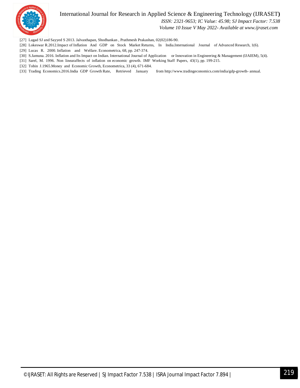

 *ISSN: 2321-9653; IC Value: 45.98; SJ Impact Factor: 7.538*

 *Volume 10 Issue V May 2022- Available at www.ijraset.com*

- [27] Lagad SJ and Sayyed S 2013. Jalvasthapan, Shodhankan , Prathmesh Prakashan, 02(02)186-90.
- [28] Lokeswar R.2012.Impact of Inflation And GDP on Stock Market Returns, In India.International Journal of Advanced Research, 1(6).
- [29] Lucas R. 2000. Inflation and Welfare. Econometrica, 68, pp. 247-374.
- [30] S.Jamuna. 2016. Inflation and Its Impact on Indian. International Journal of Application or Innovation in Engineering & Management (IJAIEM), 5(4).
- [31] Sarel, M. 1996. Non linearaffects of inflation on economic growth. IMF Working Staff Papers, 43(1), pp. 199-215.
- [32] Tobin J.1965. Money and Economic Growth, Econometrica, 33 (4), 671-684.
- [33] Trading Economics.2016.India GDP Growth Rate, Retrieved January from http://www.tradingeconomics.com/india/gdp-growth- annual.